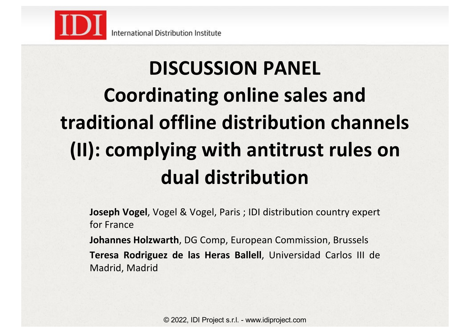

# **DISCUSSION PANEL Coordinating online sales and traditional offline distribution channels (II): complying with antitrust rules on dual distribution**

**Joseph Vogel**, Vogel & Vogel, Paris ; IDI distribution country expert for France

**Johannes Holzwarth**, DG Comp, European Commission, Brussels **Teresa Rodriguez de las Heras Ballell**, Universidad Carlos III de Madrid, Madrid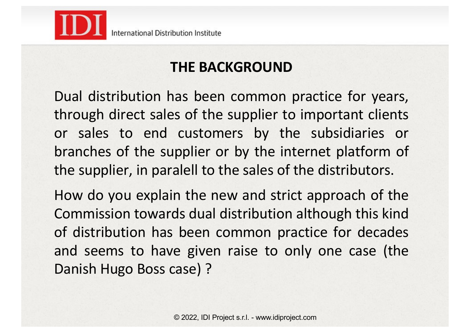

## **THE BACKGROUND**

Dual distribution has been common practice for years, through direct sales of the supplier to important clients or sales to end customers by the subsidiaries or branches of the supplier or by the internet platform of the supplier, in paralell to the sales of the distributors.

How do you explain the new and strict approach of the Commission towards dual distribution although this kind of distribution has been common practice for decades and seems to have given raise to only one case (the Danish Hugo Boss case) ?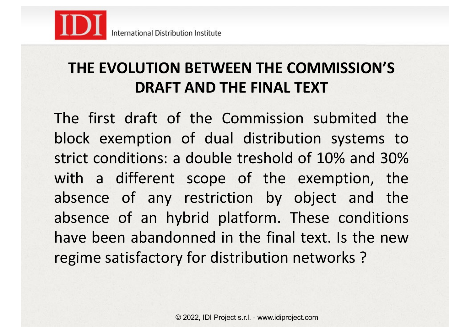

## **THE EVOLUTION BETWEEN THE COMMISSION'S DRAFT AND THE FINAL TEXT**

The first draft of the Commission submited the block exemption of dual distribution systems to strict conditions: a double treshold of 10% and 30% with a different scope of the exemption, the absence of any restriction by object and the absence of an hybrid platform. These conditions have been abandonned in the final text. Is the new regime satisfactory for distribution networks ?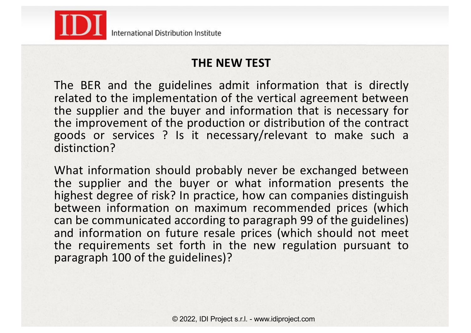

#### **THE NEW TEST**

The BER and the guidelines admit information that is directly related to the implementation of the vertical agreement between the supplier and the buyer and information that is necessary for the improvement of the production or distribution of the contract goods or services ? Is it necessary/relevant to make such a distinction?

What information should probably never be exchanged between the supplier and the buyer or what information presents the highest degree of risk? In practice, how can companies distinguish between information on maximum recommended prices (which can be communicated according to paragraph 99 of the guidelines) and information on future resale prices (which should not meet the requirements set forth in the new regulation pursuant to paragraph 100 of the guidelines)?